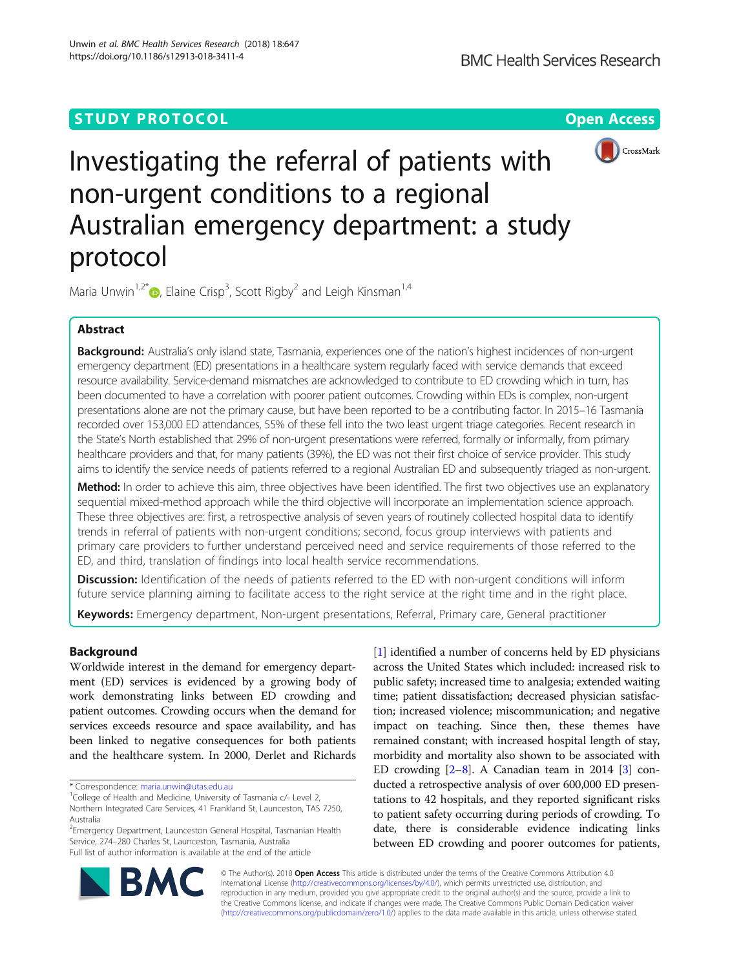# **STUDY PROTOCOL CONSUMING THE RESERVITE STUDY PROTOCOL**



# Investigating the referral of patients with non-urgent conditions to a regional Australian emergency department: a study protocol

Maria Unwin<sup>1,2\*</sup> $\bullet$ , Elaine Crisp<sup>3</sup>, Scott Rigby<sup>2</sup> and Leigh Kinsman<sup>1,4</sup>

# Abstract

**Background:** Australia's only island state, Tasmania, experiences one of the nation's highest incidences of non-urgent emergency department (ED) presentations in a healthcare system regularly faced with service demands that exceed resource availability. Service-demand mismatches are acknowledged to contribute to ED crowding which in turn, has been documented to have a correlation with poorer patient outcomes. Crowding within EDs is complex, non-urgent presentations alone are not the primary cause, but have been reported to be a contributing factor. In 2015–16 Tasmania recorded over 153,000 ED attendances, 55% of these fell into the two least urgent triage categories. Recent research in the State's North established that 29% of non-urgent presentations were referred, formally or informally, from primary healthcare providers and that, for many patients (39%), the ED was not their first choice of service provider. This study aims to identify the service needs of patients referred to a regional Australian ED and subsequently triaged as non-urgent.

Method: In order to achieve this aim, three objectives have been identified. The first two objectives use an explanatory sequential mixed-method approach while the third objective will incorporate an implementation science approach. These three objectives are: first, a retrospective analysis of seven years of routinely collected hospital data to identify trends in referral of patients with non-urgent conditions; second, focus group interviews with patients and primary care providers to further understand perceived need and service requirements of those referred to the ED, and third, translation of findings into local health service recommendations.

Discussion: Identification of the needs of patients referred to the ED with non-urgent conditions will inform future service planning aiming to facilitate access to the right service at the right time and in the right place.

Keywords: Emergency department, Non-urgent presentations, Referral, Primary care, General practitioner

# Background

Worldwide interest in the demand for emergency department (ED) services is evidenced by a growing body of work demonstrating links between ED crowding and patient outcomes. Crowding occurs when the demand for services exceeds resource and space availability, and has been linked to negative consequences for both patients and the healthcare system. In 2000, Derlet and Richards

Australia

<sup>2</sup> Emergency Department, Launceston General Hospital, Tasmanian Health Service, 274–280 Charles St, Launceston, Tasmania, Australia Full list of author information is available at the end of the article

[[1\]](#page-4-0) identified a number of concerns held by ED physicians across the United States which included: increased risk to public safety; increased time to analgesia; extended waiting time; patient dissatisfaction; decreased physician satisfaction; increased violence; miscommunication; and negative impact on teaching. Since then, these themes have remained constant; with increased hospital length of stay, morbidity and mortality also shown to be associated with ED crowding  $[2-8]$  $[2-8]$  $[2-8]$ . A Canadian team in 2014  $[3]$  conducted a retrospective analysis of over 600,000 ED presentations to 42 hospitals, and they reported significant risks to patient safety occurring during periods of crowding. To date, there is considerable evidence indicating links between ED crowding and poorer outcomes for patients,



© The Author(s). 2018 Open Access This article is distributed under the terms of the Creative Commons Attribution 4.0 International License [\(http://creativecommons.org/licenses/by/4.0/](http://creativecommons.org/licenses/by/4.0/)), which permits unrestricted use, distribution, and reproduction in any medium, provided you give appropriate credit to the original author(s) and the source, provide a link to the Creative Commons license, and indicate if changes were made. The Creative Commons Public Domain Dedication waiver [\(http://creativecommons.org/publicdomain/zero/1.0/](http://creativecommons.org/publicdomain/zero/1.0/)) applies to the data made available in this article, unless otherwise stated.

<sup>\*</sup> Correspondence: [maria.unwin@utas.edu.au](mailto:maria.unwin@utas.edu.au) <sup>1</sup>

<sup>&</sup>lt;sup>1</sup>College of Health and Medicine, University of Tasmania c/- Level 2, Northern Integrated Care Services, 41 Frankland St, Launceston, TAS 7250,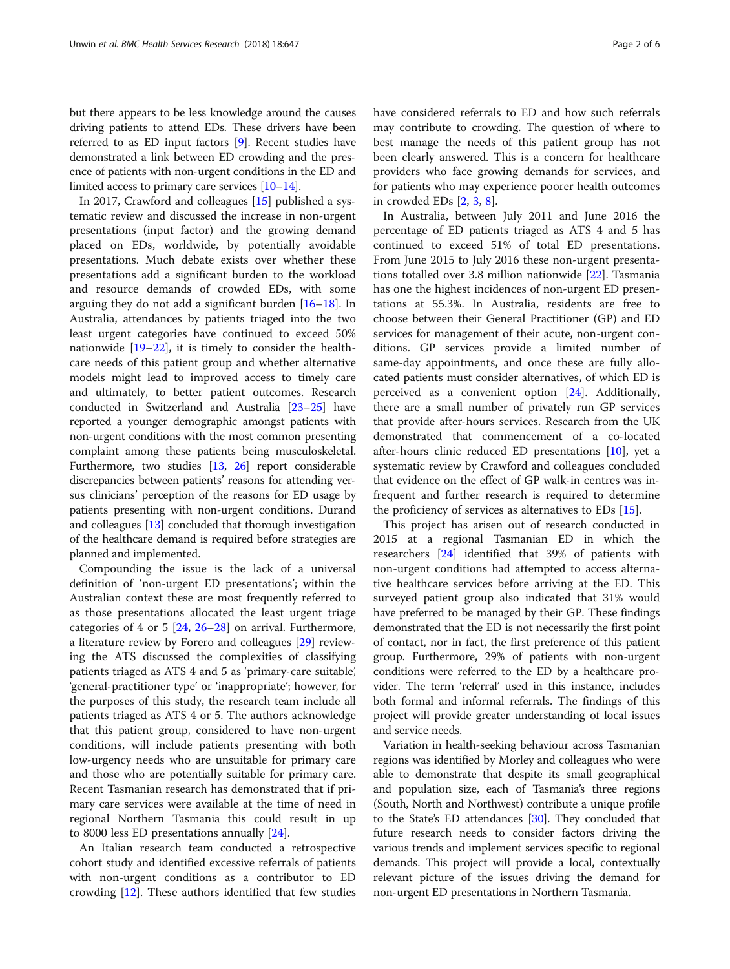but there appears to be less knowledge around the causes driving patients to attend EDs. These drivers have been referred to as ED input factors [\[9](#page-4-0)]. Recent studies have demonstrated a link between ED crowding and the presence of patients with non-urgent conditions in the ED and limited access to primary care services [\[10](#page-4-0)–[14\]](#page-4-0).

In 2017, Crawford and colleagues [[15\]](#page-4-0) published a systematic review and discussed the increase in non-urgent presentations (input factor) and the growing demand placed on EDs, worldwide, by potentially avoidable presentations. Much debate exists over whether these presentations add a significant burden to the workload and resource demands of crowded EDs, with some arguing they do not add a significant burden [[16](#page-4-0)–[18](#page-4-0)]. In Australia, attendances by patients triaged into the two least urgent categories have continued to exceed 50% nationwide [\[19](#page-4-0)–[22\]](#page-4-0), it is timely to consider the healthcare needs of this patient group and whether alternative models might lead to improved access to timely care and ultimately, to better patient outcomes. Research conducted in Switzerland and Australia [[23](#page-4-0)–[25\]](#page-4-0) have reported a younger demographic amongst patients with non-urgent conditions with the most common presenting complaint among these patients being musculoskeletal. Furthermore, two studies [\[13](#page-4-0), [26\]](#page-4-0) report considerable discrepancies between patients' reasons for attending versus clinicians' perception of the reasons for ED usage by patients presenting with non-urgent conditions. Durand and colleagues [\[13\]](#page-4-0) concluded that thorough investigation of the healthcare demand is required before strategies are planned and implemented.

Compounding the issue is the lack of a universal definition of 'non-urgent ED presentations'; within the Australian context these are most frequently referred to as those presentations allocated the least urgent triage categories of 4 or 5 [[24,](#page-4-0) [26](#page-4-0)–[28\]](#page-5-0) on arrival. Furthermore, a literature review by Forero and colleagues [\[29](#page-5-0)] reviewing the ATS discussed the complexities of classifying patients triaged as ATS 4 and 5 as 'primary-care suitable', 'general-practitioner type' or 'inappropriate'; however, for the purposes of this study, the research team include all patients triaged as ATS 4 or 5. The authors acknowledge that this patient group, considered to have non-urgent conditions, will include patients presenting with both low-urgency needs who are unsuitable for primary care and those who are potentially suitable for primary care. Recent Tasmanian research has demonstrated that if primary care services were available at the time of need in regional Northern Tasmania this could result in up to 8000 less ED presentations annually [[24](#page-4-0)].

An Italian research team conducted a retrospective cohort study and identified excessive referrals of patients with non-urgent conditions as a contributor to ED crowding [\[12](#page-4-0)]. These authors identified that few studies have considered referrals to ED and how such referrals may contribute to crowding. The question of where to best manage the needs of this patient group has not been clearly answered. This is a concern for healthcare providers who face growing demands for services, and for patients who may experience poorer health outcomes in crowded EDs [\[2,](#page-4-0) [3,](#page-4-0) [8\]](#page-4-0).

In Australia, between July 2011 and June 2016 the percentage of ED patients triaged as ATS 4 and 5 has continued to exceed 51% of total ED presentations. From June 2015 to July 2016 these non-urgent presentations totalled over 3.8 million nationwide [\[22](#page-4-0)]. Tasmania has one the highest incidences of non-urgent ED presentations at 55.3%. In Australia, residents are free to choose between their General Practitioner (GP) and ED services for management of their acute, non-urgent conditions. GP services provide a limited number of same-day appointments, and once these are fully allocated patients must consider alternatives, of which ED is perceived as a convenient option [\[24](#page-4-0)]. Additionally, there are a small number of privately run GP services that provide after-hours services. Research from the UK demonstrated that commencement of a co-located after-hours clinic reduced ED presentations [[10\]](#page-4-0), yet a systematic review by Crawford and colleagues concluded that evidence on the effect of GP walk-in centres was infrequent and further research is required to determine the proficiency of services as alternatives to EDs [[15](#page-4-0)].

This project has arisen out of research conducted in 2015 at a regional Tasmanian ED in which the researchers [[24\]](#page-4-0) identified that 39% of patients with non-urgent conditions had attempted to access alternative healthcare services before arriving at the ED. This surveyed patient group also indicated that 31% would have preferred to be managed by their GP. These findings demonstrated that the ED is not necessarily the first point of contact, nor in fact, the first preference of this patient group. Furthermore, 29% of patients with non-urgent conditions were referred to the ED by a healthcare provider. The term 'referral' used in this instance, includes both formal and informal referrals. The findings of this project will provide greater understanding of local issues and service needs.

Variation in health-seeking behaviour across Tasmanian regions was identified by Morley and colleagues who were able to demonstrate that despite its small geographical and population size, each of Tasmania's three regions (South, North and Northwest) contribute a unique profile to the State's ED attendances [\[30\]](#page-5-0). They concluded that future research needs to consider factors driving the various trends and implement services specific to regional demands. This project will provide a local, contextually relevant picture of the issues driving the demand for non-urgent ED presentations in Northern Tasmania.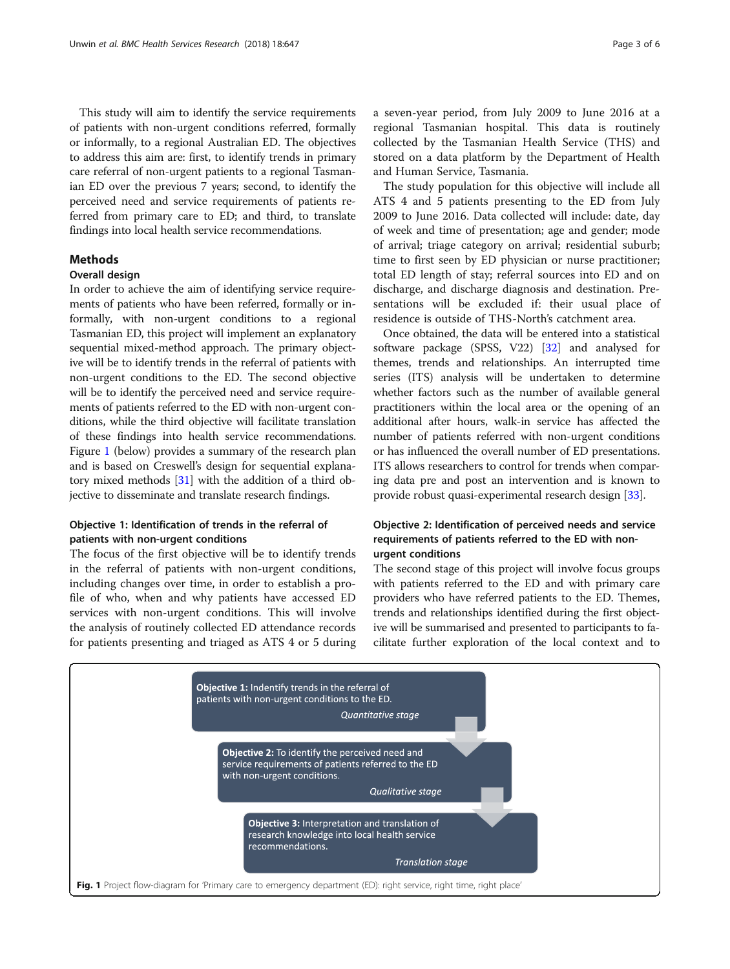This study will aim to identify the service requirements of patients with non-urgent conditions referred, formally or informally, to a regional Australian ED. The objectives to address this aim are: first, to identify trends in primary care referral of non-urgent patients to a regional Tasmanian ED over the previous 7 years; second, to identify the perceived need and service requirements of patients referred from primary care to ED; and third, to translate findings into local health service recommendations.

# **Methods**

## Overall design

In order to achieve the aim of identifying service requirements of patients who have been referred, formally or informally, with non-urgent conditions to a regional Tasmanian ED, this project will implement an explanatory sequential mixed-method approach. The primary objective will be to identify trends in the referral of patients with non-urgent conditions to the ED. The second objective will be to identify the perceived need and service requirements of patients referred to the ED with non-urgent conditions, while the third objective will facilitate translation of these findings into health service recommendations. Figure 1 (below) provides a summary of the research plan and is based on Creswell's design for sequential explanatory mixed methods [\[31\]](#page-5-0) with the addition of a third objective to disseminate and translate research findings.

# Objective 1: Identification of trends in the referral of patients with non-urgent conditions

The focus of the first objective will be to identify trends in the referral of patients with non-urgent conditions, including changes over time, in order to establish a profile of who, when and why patients have accessed ED services with non-urgent conditions. This will involve the analysis of routinely collected ED attendance records for patients presenting and triaged as ATS 4 or 5 during a seven-year period, from July 2009 to June 2016 at a regional Tasmanian hospital. This data is routinely collected by the Tasmanian Health Service (THS) and stored on a data platform by the Department of Health and Human Service, Tasmania.

The study population for this objective will include all ATS 4 and 5 patients presenting to the ED from July 2009 to June 2016. Data collected will include: date, day of week and time of presentation; age and gender; mode of arrival; triage category on arrival; residential suburb; time to first seen by ED physician or nurse practitioner; total ED length of stay; referral sources into ED and on discharge, and discharge diagnosis and destination. Presentations will be excluded if: their usual place of residence is outside of THS-North's catchment area.

Once obtained, the data will be entered into a statistical software package (SPSS, V22) [\[32\]](#page-5-0) and analysed for themes, trends and relationships. An interrupted time series (ITS) analysis will be undertaken to determine whether factors such as the number of available general practitioners within the local area or the opening of an additional after hours, walk-in service has affected the number of patients referred with non-urgent conditions or has influenced the overall number of ED presentations. ITS allows researchers to control for trends when comparing data pre and post an intervention and is known to provide robust quasi-experimental research design [\[33\]](#page-5-0).

# Objective 2: Identification of perceived needs and service requirements of patients referred to the ED with nonurgent conditions

The second stage of this project will involve focus groups with patients referred to the ED and with primary care providers who have referred patients to the ED. Themes, trends and relationships identified during the first objective will be summarised and presented to participants to facilitate further exploration of the local context and to

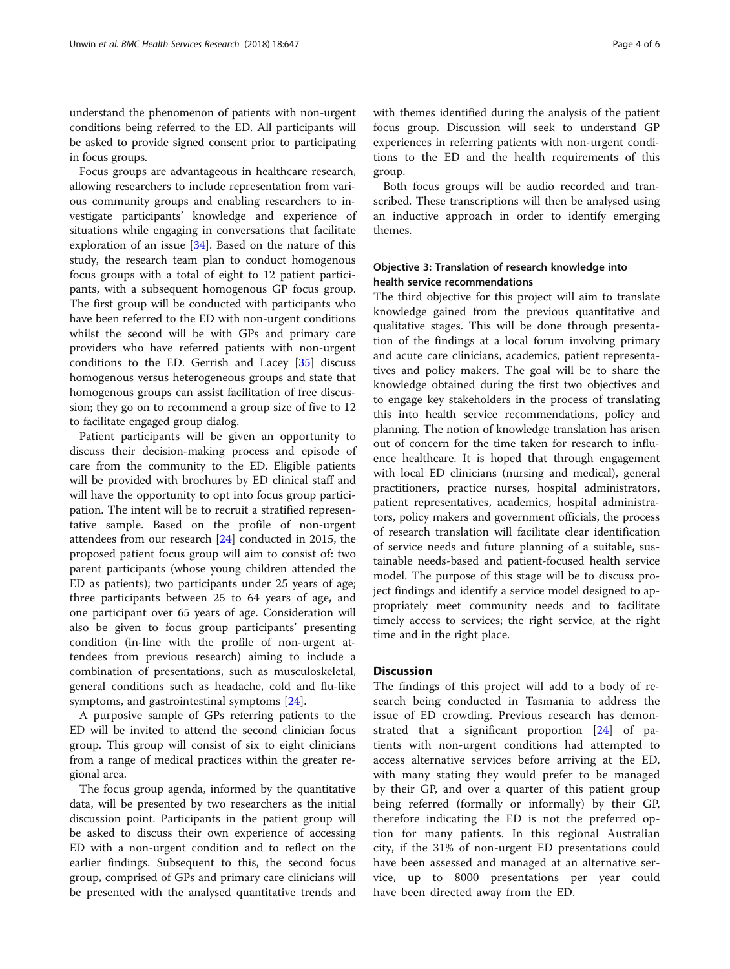understand the phenomenon of patients with non-urgent conditions being referred to the ED. All participants will be asked to provide signed consent prior to participating in focus groups.

Focus groups are advantageous in healthcare research, allowing researchers to include representation from various community groups and enabling researchers to investigate participants' knowledge and experience of situations while engaging in conversations that facilitate exploration of an issue [[34\]](#page-5-0). Based on the nature of this study, the research team plan to conduct homogenous focus groups with a total of eight to 12 patient participants, with a subsequent homogenous GP focus group. The first group will be conducted with participants who have been referred to the ED with non-urgent conditions whilst the second will be with GPs and primary care providers who have referred patients with non-urgent conditions to the ED. Gerrish and Lacey [[35](#page-5-0)] discuss homogenous versus heterogeneous groups and state that homogenous groups can assist facilitation of free discussion; they go on to recommend a group size of five to 12 to facilitate engaged group dialog.

Patient participants will be given an opportunity to discuss their decision-making process and episode of care from the community to the ED. Eligible patients will be provided with brochures by ED clinical staff and will have the opportunity to opt into focus group participation. The intent will be to recruit a stratified representative sample. Based on the profile of non-urgent attendees from our research [\[24](#page-4-0)] conducted in 2015, the proposed patient focus group will aim to consist of: two parent participants (whose young children attended the ED as patients); two participants under 25 years of age; three participants between 25 to 64 years of age, and one participant over 65 years of age. Consideration will also be given to focus group participants' presenting condition (in-line with the profile of non-urgent attendees from previous research) aiming to include a combination of presentations, such as musculoskeletal, general conditions such as headache, cold and flu-like symptoms, and gastrointestinal symptoms [\[24\]](#page-4-0).

A purposive sample of GPs referring patients to the ED will be invited to attend the second clinician focus group. This group will consist of six to eight clinicians from a range of medical practices within the greater regional area.

The focus group agenda, informed by the quantitative data, will be presented by two researchers as the initial discussion point. Participants in the patient group will be asked to discuss their own experience of accessing ED with a non-urgent condition and to reflect on the earlier findings. Subsequent to this, the second focus group, comprised of GPs and primary care clinicians will be presented with the analysed quantitative trends and with themes identified during the analysis of the patient focus group. Discussion will seek to understand GP experiences in referring patients with non-urgent conditions to the ED and the health requirements of this group.

Both focus groups will be audio recorded and transcribed. These transcriptions will then be analysed using an inductive approach in order to identify emerging themes.

# Objective 3: Translation of research knowledge into health service recommendations

The third objective for this project will aim to translate knowledge gained from the previous quantitative and qualitative stages. This will be done through presentation of the findings at a local forum involving primary and acute care clinicians, academics, patient representatives and policy makers. The goal will be to share the knowledge obtained during the first two objectives and to engage key stakeholders in the process of translating this into health service recommendations, policy and planning. The notion of knowledge translation has arisen out of concern for the time taken for research to influence healthcare. It is hoped that through engagement with local ED clinicians (nursing and medical), general practitioners, practice nurses, hospital administrators, patient representatives, academics, hospital administrators, policy makers and government officials, the process of research translation will facilitate clear identification of service needs and future planning of a suitable, sustainable needs-based and patient-focused health service model. The purpose of this stage will be to discuss project findings and identify a service model designed to appropriately meet community needs and to facilitate timely access to services; the right service, at the right time and in the right place.

#### **Discussion**

The findings of this project will add to a body of research being conducted in Tasmania to address the issue of ED crowding. Previous research has demonstrated that a significant proportion [\[24](#page-4-0)] of patients with non-urgent conditions had attempted to access alternative services before arriving at the ED, with many stating they would prefer to be managed by their GP, and over a quarter of this patient group being referred (formally or informally) by their GP, therefore indicating the ED is not the preferred option for many patients. In this regional Australian city, if the 31% of non-urgent ED presentations could have been assessed and managed at an alternative service, up to 8000 presentations per year could have been directed away from the ED.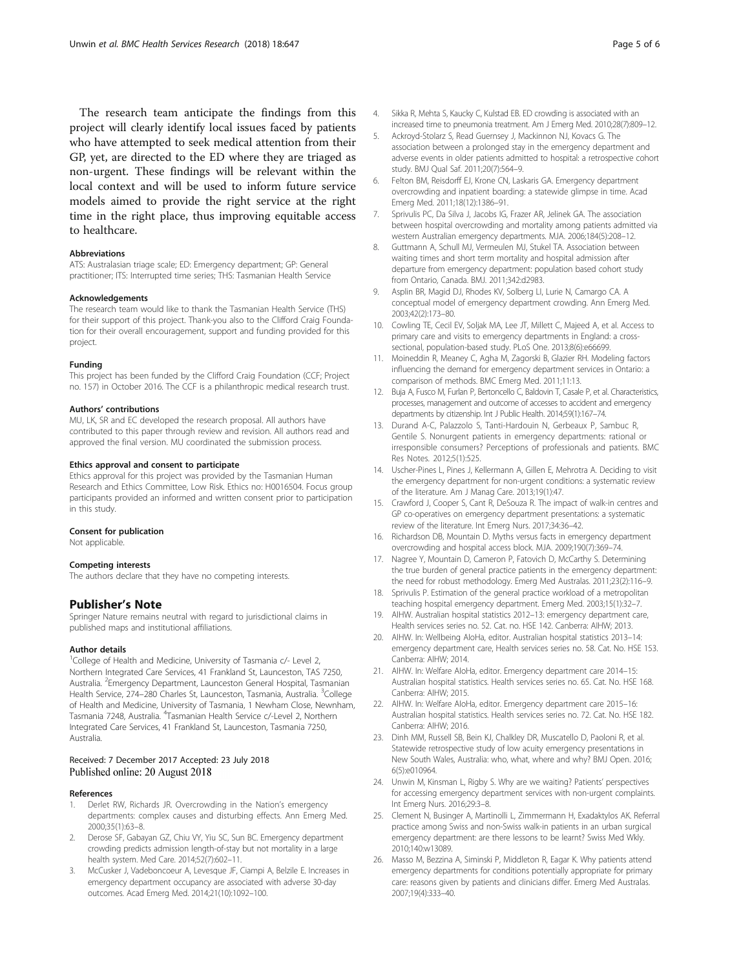<span id="page-4-0"></span>The research team anticipate the findings from this project will clearly identify local issues faced by patients who have attempted to seek medical attention from their GP, yet, are directed to the ED where they are triaged as non-urgent. These findings will be relevant within the local context and will be used to inform future service models aimed to provide the right service at the right time in the right place, thus improving equitable access to healthcare.

#### Abbreviations

ATS: Australasian triage scale; ED: Emergency department; GP: General practitioner; ITS: Interrupted time series; THS: Tasmanian Health Service

#### Acknowledgements

The research team would like to thank the Tasmanian Health Service (THS) for their support of this project. Thank-you also to the Clifford Craig Foundation for their overall encouragement, support and funding provided for this project.

#### Funding

This project has been funded by the Clifford Craig Foundation (CCF; Project no. 157) in October 2016. The CCF is a philanthropic medical research trust.

#### Authors' contributions

MU, LK, SR and EC developed the research proposal. All authors have contributed to this paper through review and revision. All authors read and approved the final version. MU coordinated the submission process.

#### Ethics approval and consent to participate

Ethics approval for this project was provided by the Tasmanian Human Research and Ethics Committee, Low Risk. Ethics no: H0016504. Focus group participants provided an informed and written consent prior to participation in this study.

#### Consent for publication

Not applicable.

#### Competing interests

The authors declare that they have no competing interests.

#### Publisher's Note

Springer Nature remains neutral with regard to jurisdictional claims in published maps and institutional affiliations.

#### Author details

<sup>1</sup>College of Health and Medicine, University of Tasmania c/- Level 2, Northern Integrated Care Services, 41 Frankland St, Launceston, TAS 7250, Australia. <sup>2</sup>Emergency Department, Launceston General Hospital, Tasmanian Health Service, 274–280 Charles St, Launceston, Tasmania, Australia. <sup>3</sup>College of Health and Medicine, University of Tasmania, 1 Newham Close, Newnham, Tasmania 7248, Australia. <sup>4</sup>Tasmanian Health Service c/-Level 2, Northern Integrated Care Services, 41 Frankland St, Launceston, Tasmania 7250, Australia.

### Received: 7 December 2017 Accepted: 23 July 2018 Published online: 20 August 2018

#### References

- 1. Derlet RW, Richards JR. Overcrowding in the Nation's emergency departments: complex causes and disturbing effects. Ann Emerg Med. 2000;35(1):63–8.
- 2. Derose SF, Gabayan GZ, Chiu VY, Yiu SC, Sun BC. Emergency department crowding predicts admission length-of-stay but not mortality in a large health system. Med Care. 2014;52(7):602–11.
- 3. McCusker J, Vadeboncoeur A, Levesque JF, Ciampi A, Belzile E. Increases in emergency department occupancy are associated with adverse 30-day outcomes. Acad Emerg Med. 2014;21(10):1092–100.
- 4. Sikka R, Mehta S, Kaucky C, Kulstad EB. ED crowding is associated with an increased time to pneumonia treatment. Am J Emerg Med. 2010;28(7):809–12.
- 5. Ackroyd-Stolarz S, Read Guernsey J, Mackinnon NJ, Kovacs G. The association between a prolonged stay in the emergency department and adverse events in older patients admitted to hospital: a retrospective cohort study. BMJ Qual Saf. 2011;20(7):564–9.
- 6. Felton BM, Reisdorff EJ, Krone CN, Laskaris GA. Emergency department overcrowding and inpatient boarding: a statewide glimpse in time. Acad Emerg Med. 2011;18(12):1386–91.
- 7. Sprivulis PC, Da Silva J, Jacobs IG, Frazer AR, Jelinek GA. The association between hospital overcrowding and mortality among patients admitted via western Australian emergency departments. MJA. 2006;184(5):208–12.
- 8. Guttmann A, Schull MJ, Vermeulen MJ, Stukel TA. Association between waiting times and short term mortality and hospital admission after departure from emergency department: population based cohort study from Ontario, Canada. BMJ. 2011;342:d2983.
- 9. Asplin BR, Magid DJ, Rhodes KV, Solberg LI, Lurie N, Camargo CA. A conceptual model of emergency department crowding. Ann Emerg Med. 2003;42(2):173–80.
- 10. Cowling TE, Cecil EV, Soljak MA, Lee JT, Millett C, Majeed A, et al. Access to primary care and visits to emergency departments in England: a crosssectional, population-based study. PLoS One. 2013;8(6):e66699.
- 11. Moineddin R, Meaney C, Agha M, Zagorski B, Glazier RH. Modeling factors influencing the demand for emergency department services in Ontario: a comparison of methods. BMC Emerg Med. 2011;11:13.
- 12. Buja A, Fusco M, Furlan P, Bertoncello C, Baldovin T, Casale P, et al. Characteristics, processes, management and outcome of accesses to accident and emergency departments by citizenship. Int J Public Health. 2014;59(1):167–74.
- 13. Durand A-C, Palazzolo S, Tanti-Hardouin N, Gerbeaux P, Sambuc R, Gentile S. Nonurgent patients in emergency departments: rational or irresponsible consumers? Perceptions of professionals and patients. BMC Res Notes. 2012;5(1):525.
- 14. Uscher-Pines L, Pines J, Kellermann A, Gillen E, Mehrotra A. Deciding to visit the emergency department for non-urgent conditions: a systematic review of the literature. Am J Manag Care. 2013;19(1):47.
- 15. Crawford J, Cooper S, Cant R, DeSouza R. The impact of walk-in centres and GP co-operatives on emergency department presentations: a systematic review of the literature. Int Emerg Nurs. 2017;34:36–42.
- 16. Richardson DB, Mountain D. Myths versus facts in emergency department overcrowding and hospital access block. MJA. 2009;190(7):369–74.
- 17. Nagree Y, Mountain D, Cameron P, Fatovich D, McCarthy S. Determining the true burden of general practice patients in the emergency department: the need for robust methodology. Emerg Med Australas. 2011;23(2):116–9.
- 18. Sprivulis P. Estimation of the general practice workload of a metropolitan teaching hospital emergency department. Emerg Med. 2003;15(1):32–7.
- 19. AIHW. Australian hospital statistics 2012–13: emergency department care, Health services series no. 52. Cat. no. HSE 142. Canberra: AIHW; 2013.
- 20. AIHW. In: Wellbeing AIoHa, editor. Australian hospital statistics 2013–14: emergency department care, Health services series no. 58. Cat. No. HSE 153. Canberra: AIHW; 2014.
- 21. AIHW. In: Welfare AIoHa, editor. Emergency department care 2014–15: Australian hospital statistics. Health services series no. 65. Cat. No. HSE 168. Canberra: AIHW; 2015.
- 22. AIHW. In: Welfare AIoHa, editor. Emergency department care 2015–16: Australian hospital statistics. Health services series no. 72. Cat. No. HSE 182. Canberra: AIHW; 2016.
- 23. Dinh MM, Russell SB, Bein KJ, Chalkley DR, Muscatello D, Paoloni R, et al. Statewide retrospective study of low acuity emergency presentations in New South Wales, Australia: who, what, where and why? BMJ Open. 2016; 6(5):e010964.
- 24. Unwin M, Kinsman L, Rigby S. Why are we waiting? Patients' perspectives for accessing emergency department services with non-urgent complaints. Int Emerg Nurs. 2016;29:3–8.
- 25. Clement N, Businger A, Martinolli L, Zimmermann H, Exadaktylos AK. Referral practice among Swiss and non-Swiss walk-in patients in an urban surgical emergency department: are there lessons to be learnt? Swiss Med Wkly. 2010;140:w13089.
- 26. Masso M, Bezzina A, Siminski P, Middleton R, Eagar K. Why patients attend emergency departments for conditions potentially appropriate for primary care: reasons given by patients and clinicians differ. Emerg Med Australas. 2007;19(4):333–40.